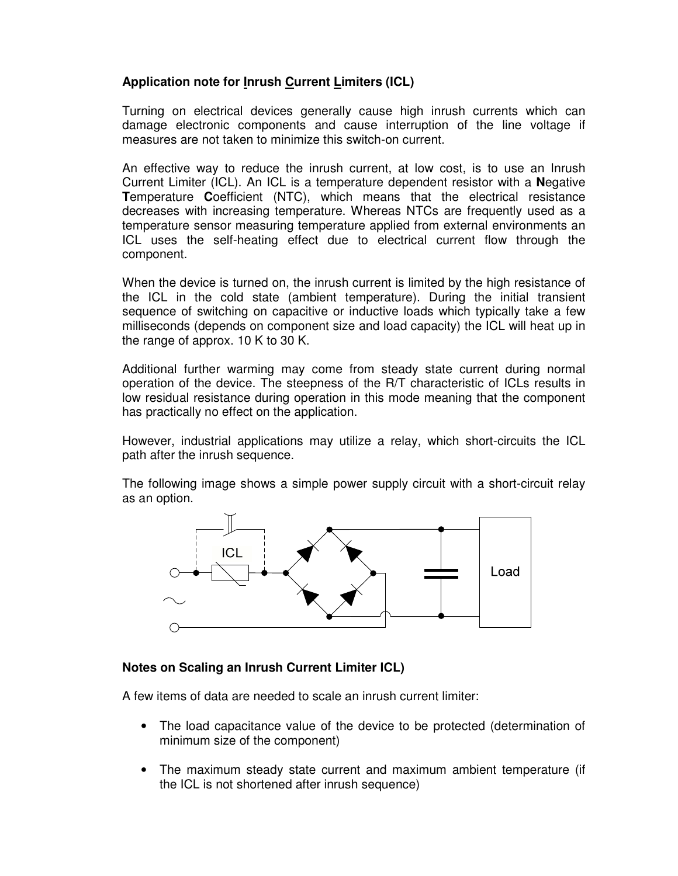# **Application note for Inrush Current Limiters (ICL)**

Turning on electrical devices generally cause high inrush currents which can damage electronic components and cause interruption of the line voltage if measures are not taken to minimize this switch-on current.

An effective way to reduce the inrush current, at low cost, is to use an Inrush Current Limiter (ICL). An ICL is a temperature dependent resistor with a **N**egative **T**emperature **C**oefficient (NTC), which means that the electrical resistance decreases with increasing temperature. Whereas NTCs are frequently used as a temperature sensor measuring temperature applied from external environments an ICL uses the self-heating effect due to electrical current flow through the component.

When the device is turned on, the inrush current is limited by the high resistance of the ICL in the cold state (ambient temperature). During the initial transient sequence of switching on capacitive or inductive loads which typically take a few milliseconds (depends on component size and load capacity) the ICL will heat up in the range of approx. 10 K to 30 K.

Additional further warming may come from steady state current during normal operation of the device. The steepness of the R/T characteristic of ICLs results in low residual resistance during operation in this mode meaning that the component has practically no effect on the application.

However, industrial applications may utilize a relay, which short-circuits the ICL path after the inrush sequence.

The following image shows a simple power supply circuit with a short-circuit relay as an option.



# **Notes on Scaling an Inrush Current Limiter ICL)**

A few items of data are needed to scale an inrush current limiter:

- The load capacitance value of the device to be protected (determination of minimum size of the component)
- The maximum steady state current and maximum ambient temperature (if the ICL is not shortened after inrush sequence)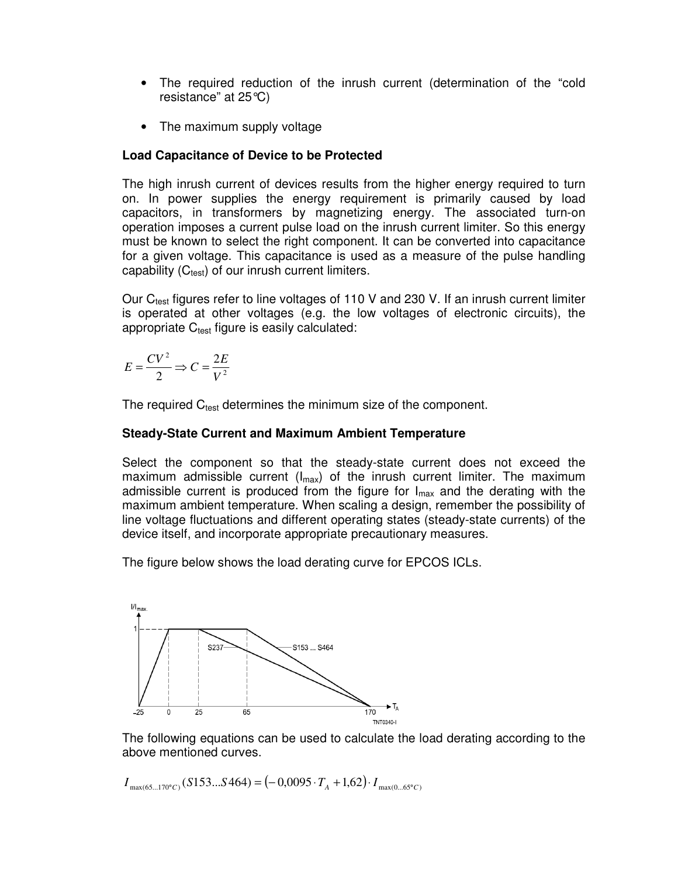- The required reduction of the inrush current (determination of the "cold resistance" at 25°C)
- The maximum supply voltage

# **Load Capacitance of Device to be Protected**

The high inrush current of devices results from the higher energy required to turn on. In power supplies the energy requirement is primarily caused by load capacitors, in transformers by magnetizing energy. The associated turn-on operation imposes a current pulse load on the inrush current limiter. So this energy must be known to select the right component. It can be converted into capacitance for a given voltage. This capacitance is used as a measure of the pulse handling capability  $(C_{test})$  of our inrush current limiters.

Our  $C_{test}$  figures refer to line voltages of 110 V and 230 V. If an inrush current limiter is operated at other voltages (e.g. the low voltages of electronic circuits), the appropriate  $C_{test}$  figure is easily calculated:

$$
E = \frac{CV^2}{2} \Rightarrow C = \frac{2E}{V^2}
$$

The required  $C_{test}$  determines the minimum size of the component.

## **Steady-State Current and Maximum Ambient Temperature**

Select the component so that the steady-state current does not exceed the maximum admissible current ( $I_{max}$ ) of the inrush current limiter. The maximum admissible current is produced from the figure for  $I_{\text{max}}$  and the derating with the maximum ambient temperature. When scaling a design, remember the possibility of line voltage fluctuations and different operating states (steady-state currents) of the device itself, and incorporate appropriate precautionary measures.

The figure below shows the load derating curve for EPCOS ICLs.



The following equations can be used to calculate the load derating according to the above mentioned curves.

 $I_{\max(65\dots170^\circ C)}(S153\dots S464) = (-0,0095 \cdot T_A + 1,62) \cdot I_{\max(0\dots65^\circ C)}$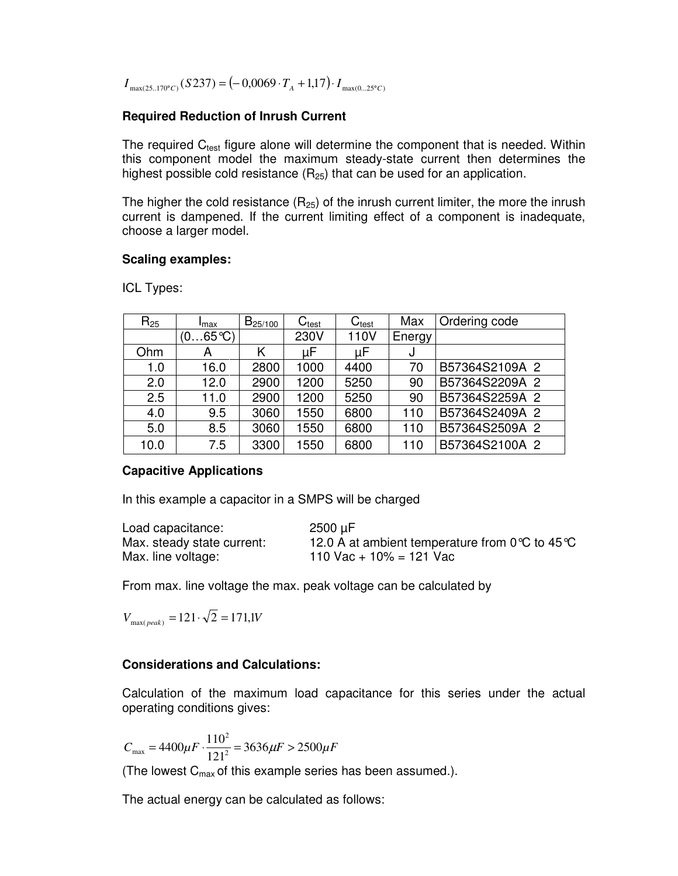$I_{\max(25..170^{\circ}C)}(S237) = (-0,0069 \cdot T_A + 1,17) \cdot I_{\max(0...25^{\circ}C)}$ 

## **Required Reduction of Inrush Current**

The required  $C_{test}$  figure alone will determine the component that is needed. Within this component model the maximum steady-state current then determines the highest possible cold resistance  $(R_{25})$  that can be used for an application.

The higher the cold resistance  $(R_{25})$  of the inrush current limiter, the more the inrush current is dampened. If the current limiting effect of a component is inadequate, choose a larger model.

### **Scaling examples:**

| $R_{25}$ | <b>I</b> max     | $B_{25/100}$ | $\mathsf{C}_{\mathsf{test}}$ | $C_{\text{test}}$ | Max    | Ordering code  |
|----------|------------------|--------------|------------------------------|-------------------|--------|----------------|
|          | $(065^{\circ}C)$ |              | 230V                         | 110V              | Energy |                |
| Ohm      | А                | Κ            | μF                           | μF                | J      |                |
| 1.0      | 16.0             | 2800         | 1000                         | 4400              | 70     | B57364S2109A 2 |
| 2.0      | 12.0             | 2900         | 1200                         | 5250              | 90     | B57364S2209A 2 |
| 2.5      | 11.0             | 2900         | 1200                         | 5250              | 90     | B57364S2259A 2 |
| 4.0      | 9.5              | 3060         | 1550                         | 6800              | 110    | B57364S2409A 2 |
| 5.0      | 8.5              | 3060         | 1550                         | 6800              | 110    | B57364S2509A 2 |
| 10.0     | 7.5              | 3300         | 1550                         | 6800              | 110    | B57364S2100A 2 |

ICL Types:

## **Capacitive Applications**

In this example a capacitor in a SMPS will be charged

| Load capacitance:          | 2500 µF                                                  |
|----------------------------|----------------------------------------------------------|
| Max. steady state current: | 12.0 A at ambient temperature from $0^{\circ}C$ to 45 °C |
| Max. line voltage:         | 110 Vac + 10% = 121 Vac                                  |

From max. line voltage the max. peak voltage can be calculated by

 $V_{\text{max}( peak)} = 121 \cdot \sqrt{2} = 171,$  *W* 

## **Considerations and Calculations:**

Calculation of the maximum load capacitance for this series under the actual operating conditions gives:

 $C_{\text{max}} = 4400 \mu F \cdot \frac{110}{1242} = 3636 \mu F > 2500 \mu F$  $4400 \mu F \cdot \frac{110^2}{121^2}$  $m_{\text{max}} = 4400 \mu F \cdot \frac{110}{121^2} = 3636 \mu F >$ 

(The lowest  $C_{\text{max}}$  of this example series has been assumed.).

The actual energy can be calculated as follows: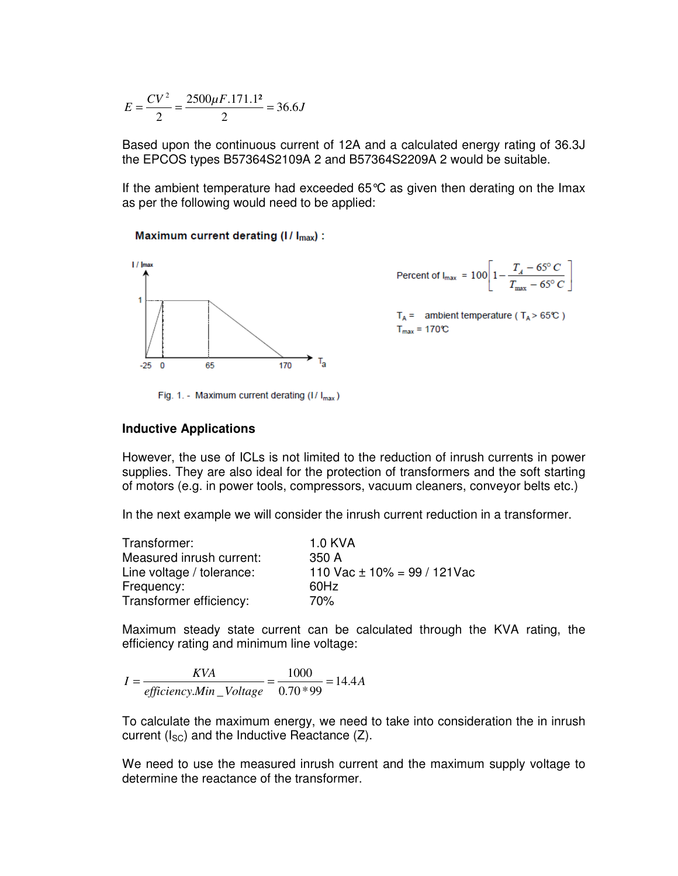$$
E = \frac{CV^2}{2} = \frac{2500\mu F.171.1^2}{2} = 36.6J
$$

Based upon the continuous current of 12A and a calculated energy rating of 36.3J the EPCOS types B57364S2109A 2 and B57364S2209A 2 would be suitable.

If the ambient temperature had exceeded  $65^{\circ}$ C as given then derating on the Imax as per the following would need to be applied:

Maximum current derating (I/ I<sub>max</sub>) :



$$
\text{Percent of } \mathsf{l}_{\text{max}} = 100 \left[ 1 - \frac{T_A - 65^{\circ} C}{T_{\text{max}} - 65^{\circ} C} \right]
$$

 $T_A$  = ambient temperature ( $T_A$  > 65°C)  $T_{max} = 170^{\circ}C$ 

Fig. 1. - Maximum current derating (I/ $I_{max}$ )

#### **Inductive Applications**

However, the use of ICLs is not limited to the reduction of inrush currents in power supplies. They are also ideal for the protection of transformers and the soft starting of motors (e.g. in power tools, compressors, vacuum cleaners, conveyor belts etc.)

In the next example we will consider the inrush current reduction in a transformer.

| Transformer:              | 1.0 KVA                          |
|---------------------------|----------------------------------|
| Measured inrush current:  | 350 A                            |
| Line voltage / tolerance: | 110 Vac $\pm$ 10% = 99 / 121 Vac |
| Frequency:                | 60Hz                             |
| Transformer efficiency:   | 70%                              |

Maximum steady state current can be calculated through the KVA rating, the efficiency rating and minimum line voltage:

*A efficiency Min Voltage*  $I = \frac{KVA}{\frac{1000}{8.58 \times 10^{14} \text{ N}}}} = \frac{1000}{0.58 \times 10^{14} \text{ N}} = 14.4$  $0.70 * 99$ 1000  $_{.}$ Min  $=\frac{RVI}{200} = \frac{1000}{250 \times 24} = 14.4A$ 

To calculate the maximum energy, we need to take into consideration the in inrush current  $(I_{SC})$  and the Inductive Reactance (Z).

We need to use the measured inrush current and the maximum supply voltage to determine the reactance of the transformer.